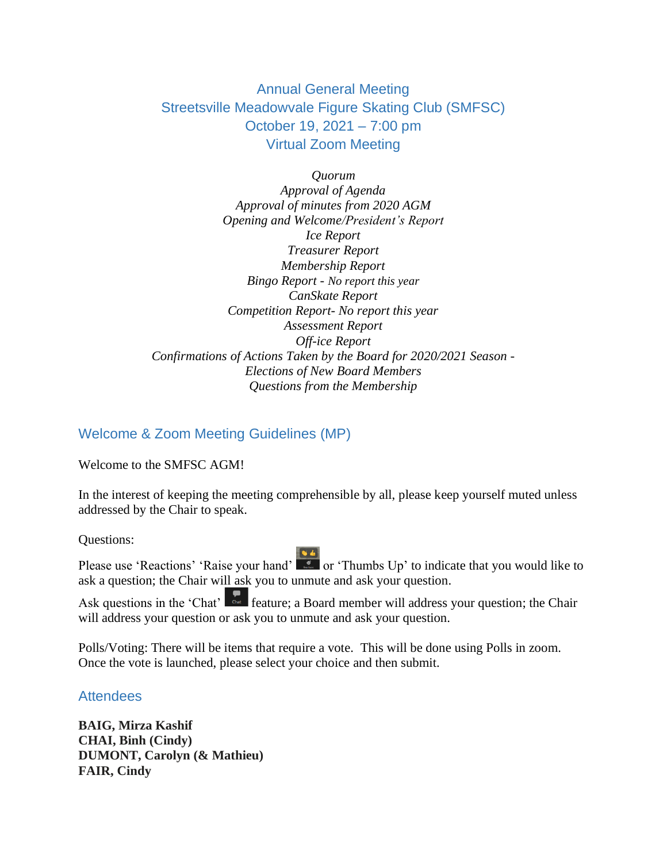# Annual General Meeting Streetsville Meadowvale Figure Skating Club (SMFSC) October 19, 2021 – 7:00 pm Virtual Zoom Meeting

*Quorum Approval of Agenda Approval of minutes from 2020 AGM Opening and Welcome/President's Report Ice Report Treasurer Report Membership Report Bingo Report - No report this year CanSkate Report Competition Report- No report this year Assessment Report Off-ice Report Confirmations of Actions Taken by the Board for 2020/2021 Season - Elections of New Board Members Questions from the Membership*

#### Welcome & Zoom Meeting Guidelines (MP)

Welcome to the SMFSC AGM!

In the interest of keeping the meeting comprehensible by all, please keep yourself muted unless addressed by the Chair to speak.

Questions:

Please use 'Reactions' 'Raise your hand' or 'Thumbs Up' to indicate that you would like to ask a question; the Chair will ask you to unmute and ask your question.

Ask questions in the 'Chat'  $\int_{\alpha}^{\alpha}$  feature; a Board member will address your question; the Chair will address your question or ask you to unmute and ask your question.

Polls/Voting: There will be items that require a vote. This will be done using Polls in zoom. Once the vote is launched, please select your choice and then submit.

**Attendees** 

**BAIG, Mirza Kashif CHAI, Binh (Cindy) DUMONT, Carolyn (& Mathieu) FAIR, Cindy**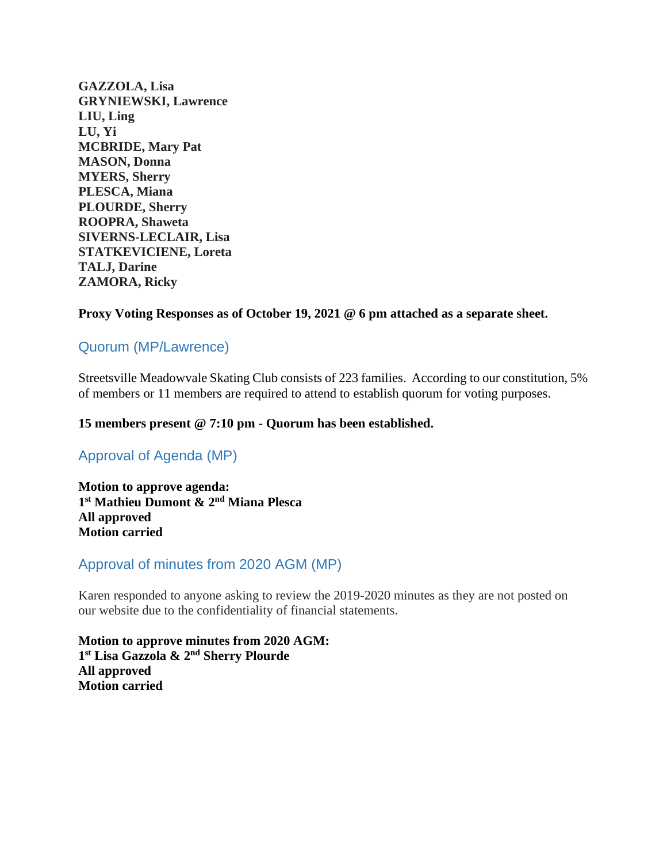**GAZZOLA, Lisa GRYNIEWSKI, Lawrence LIU, Ling LU, Yi MCBRIDE, Mary Pat MASON, Donna MYERS, Sherry PLESCA, Miana PLOURDE, Sherry ROOPRA, Shaweta SIVERNS-LECLAIR, Lisa STATKEVICIENE, Loreta TALJ, Darine ZAMORA, Ricky**

#### **Proxy Voting Responses as of October 19, 2021 @ 6 pm attached as a separate sheet.**

#### Quorum (MP/Lawrence)

Streetsville Meadowvale Skating Club consists of 223 families. According to our constitution, 5% of members or 11 members are required to attend to establish quorum for voting purposes.

#### **15 members present @ 7:10 pm - Quorum has been established.**

# Approval of Agenda (MP)

**Motion to approve agenda: 1 st Mathieu Dumont & 2nd Miana Plesca All approved Motion carried**

#### Approval of minutes from 2020 AGM (MP)

Karen responded to anyone asking to review the 2019-2020 minutes as they are not posted on our website due to the confidentiality of financial statements.

**Motion to approve minutes from 2020 AGM: 1 st Lisa Gazzola & 2nd Sherry Plourde All approved Motion carried**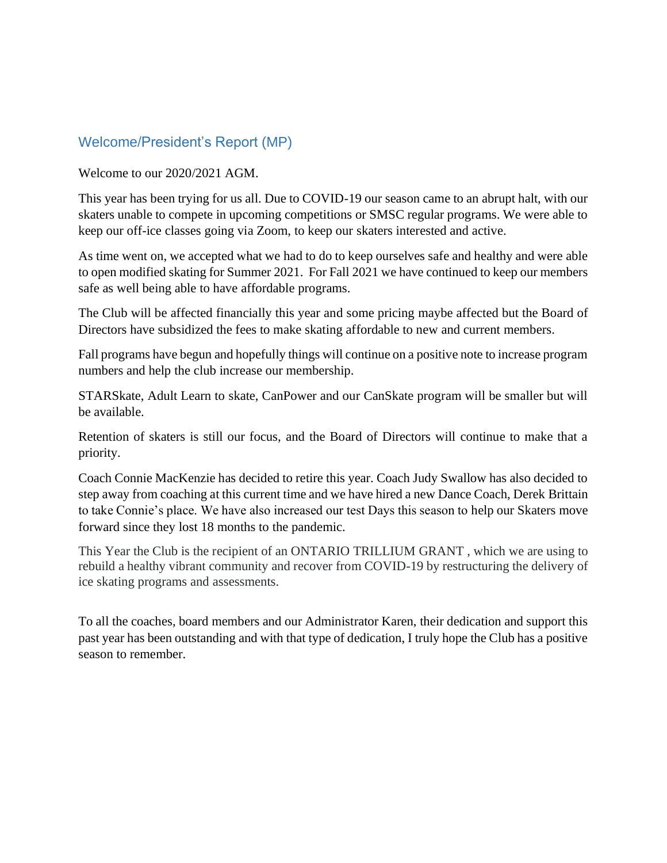#### Welcome/President's Report (MP)

Welcome to our 2020/2021 AGM.

This year has been trying for us all. Due to COVID-19 our season came to an abrupt halt, with our skaters unable to compete in upcoming competitions or SMSC regular programs. We were able to keep our off-ice classes going via Zoom, to keep our skaters interested and active.

As time went on, we accepted what we had to do to keep ourselves safe and healthy and were able to open modified skating for Summer 2021. For Fall 2021 we have continued to keep our members safe as well being able to have affordable programs.

The Club will be affected financially this year and some pricing maybe affected but the Board of Directors have subsidized the fees to make skating affordable to new and current members.

Fall programs have begun and hopefully things will continue on a positive note to increase program numbers and help the club increase our membership.

STARSkate, Adult Learn to skate, CanPower and our CanSkate program will be smaller but will be available.

Retention of skaters is still our focus, and the Board of Directors will continue to make that a priority.

Coach Connie MacKenzie has decided to retire this year. Coach Judy Swallow has also decided to step away from coaching at this current time and we have hired a new Dance Coach, Derek Brittain to take Connie's place. We have also increased our test Days this season to help our Skaters move forward since they lost 18 months to the pandemic.

This Year the Club is the recipient of an ONTARIO TRILLIUM GRANT , which we are using to rebuild a healthy vibrant community and recover from COVID-19 by restructuring the delivery of ice skating programs and assessments.

To all the coaches, board members and our Administrator Karen, their dedication and support this past year has been outstanding and with that type of dedication, I truly hope the Club has a positive season to remember.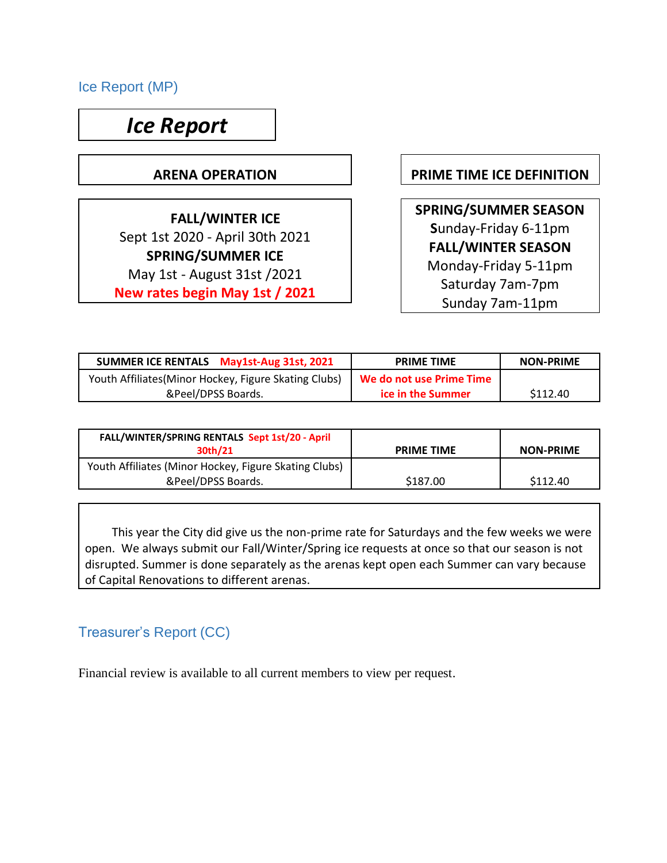Ice Report (MP)

# *Ice Report*

 **FALL/WINTER ICE**  Sept 1st 2020 - April 30th 2021 **SPRING/SUMMER ICE**  May 1st - August 31st /2021 **New rates begin May 1st / 2021**

**ARENA OPERATION PRIME TIME ICE DEFINITION**

**SPRING/SUMMER SEASON S**unday-Friday 6-11pm **FALL/WINTER SEASON**  Monday-Friday 5-11pm Saturday 7am-7pm Sunday 7am-11pm

| SUMMER ICE RENTALS May1st-Aug 31st, 2021              | <b>PRIME TIME</b>        | <b>NON-PRIME</b> |
|-------------------------------------------------------|--------------------------|------------------|
| Youth Affiliates (Minor Hockey, Figure Skating Clubs) | We do not use Prime Time |                  |
| &Peel/DPSS Boards.                                    | ice in the Summer        | \$112.40         |

| FALL/WINTER/SPRING RENTALS Sept 1st/20 - April<br>30th/21                   | <b>PRIME TIME</b> | <b>NON-PRIME</b> |
|-----------------------------------------------------------------------------|-------------------|------------------|
| Youth Affiliates (Minor Hockey, Figure Skating Clubs)<br>&Peel/DPSS Boards. | \$187.00          | \$112.40         |

 This year the City did give us the non-prime rate for Saturdays and the few weeks we were open. We always submit our Fall/Winter/Spring ice requests at once so that our season is not disrupted. Summer is done separately as the arenas kept open each Summer can vary because of Capital Renovations to different arenas.

# Treasurer's Report (CC)

Financial review is available to all current members to view per request.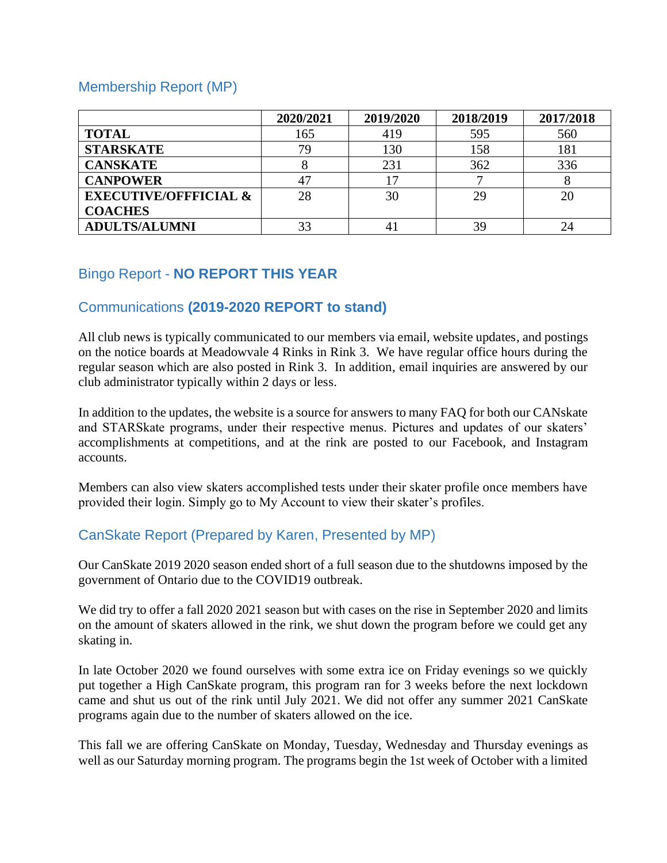#### Membership Report (MP)

|                                  | 2020/2021 | 2019/2020 | 2018/2019 | 2017/2018 |
|----------------------------------|-----------|-----------|-----------|-----------|
| <b>TOTAL</b>                     | 165       | 419       | 595       | 560       |
| <b>STARSKATE</b>                 | 79        | 130       | 158       | 181       |
| <b>CANSKATE</b>                  |           | 231       | 362       | 336       |
| <b>CANPOWER</b>                  | 47        | 17        |           |           |
| <b>EXECUTIVE/OFFFICIAL &amp;</b> | 28        | 30        | 29        | 20        |
| <b>COACHES</b>                   |           |           |           |           |
| <b>ADULTS/ALUMNI</b>             | 33        |           | 39        | 24        |

# Bingo Report - **NO REPORT THIS YEAR**

# Communications **(2019-2020 REPORT to stand)**

All club news is typically communicated to our members via email, website updates, and postings on the notice boards at Meadowvale 4 Rinks in Rink 3. We have regular office hours during the regular season which are also posted in Rink 3. In addition, email inquiries are answered by our club administrator typically within 2 days or less.

In addition to the updates, the website is a source for answers to many FAQ for both our CANskate and STARSkate programs, under their respective menus. Pictures and updates of our skaters' accomplishments at competitions, and at the rink are posted to our Facebook, and Instagram accounts.

Members can also view skaters accomplished tests under their skater profile once members have provided their login. Simply go to My Account to view their skater's profiles.

# CanSkate Report (Prepared by Karen, Presented by MP)

Our CanSkate 2019 2020 season ended short of a full season due to the shutdowns imposed by the government of Ontario due to the COVID19 outbreak.

We did try to offer a fall 2020 2021 season but with cases on the rise in September 2020 and limits on the amount of skaters allowed in the rink, we shut down the program before we could get any skating in.

In late October 2020 we found ourselves with some extra ice on Friday evenings so we quickly put together a High CanSkate program, this program ran for 3 weeks before the next lockdown came and shut us out of the rink until July 2021. We did not offer any summer 2021 CanSkate programs again due to the number of skaters allowed on the ice.

This fall we are offering CanSkate on Monday, Tuesday, Wednesday and Thursday evenings as well as our Saturday morning program. The programs begin the 1st week of October with a limited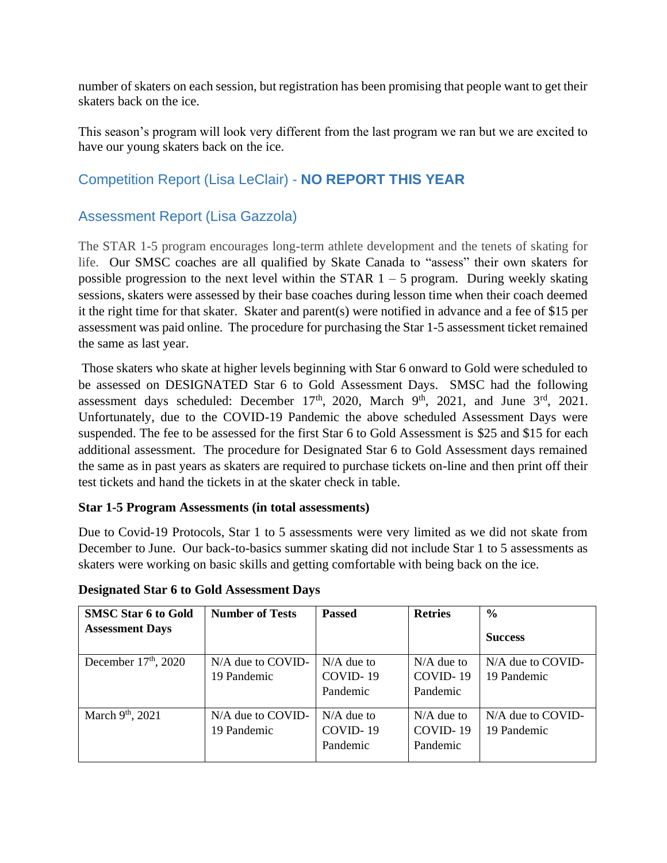number of skaters on each session, but registration has been promising that people want to get their skaters back on the ice.

This season's program will look very different from the last program we ran but we are excited to have our young skaters back on the ice.

# Competition Report (Lisa LeClair) - **NO REPORT THIS YEAR**

# Assessment Report (Lisa Gazzola)

The STAR 1-5 program encourages long-term athlete development and the tenets of skating for life. Our SMSC coaches are all qualified by Skate Canada to "assess" their own skaters for possible progression to the next level within the STAR  $1 - 5$  program. During weekly skating sessions, skaters were assessed by their base coaches during lesson time when their coach deemed it the right time for that skater. Skater and parent(s) were notified in advance and a fee of \$15 per assessment was paid online. The procedure for purchasing the Star 1-5 assessment ticket remained the same as last year.

Those skaters who skate at higher levels beginning with Star 6 onward to Gold were scheduled to be assessed on DESIGNATED Star 6 to Gold Assessment Days. SMSC had the following assessment days scheduled: December  $17<sup>th</sup>$ , 2020, March  $9<sup>th</sup>$ , 2021, and June  $3<sup>rd</sup>$ , 2021. Unfortunately, due to the COVID-19 Pandemic the above scheduled Assessment Days were suspended. The fee to be assessed for the first Star 6 to Gold Assessment is \$25 and \$15 for each additional assessment. The procedure for Designated Star 6 to Gold Assessment days remained the same as in past years as skaters are required to purchase tickets on-line and then print off their test tickets and hand the tickets in at the skater check in table.

#### **Star 1-5 Program Assessments (in total assessments)**

Due to Covid-19 Protocols, Star 1 to 5 assessments were very limited as we did not skate from December to June. Our back-to-basics summer skating did not include Star 1 to 5 assessments as skaters were working on basic skills and getting comfortable with being back on the ice.

| <b>SMSC Star 6 to Gold</b>   | <b>Number of Tests</b>             | <b>Passed</b>                        | <b>Retries</b>                       | $\frac{6}{6}$                      |
|------------------------------|------------------------------------|--------------------------------------|--------------------------------------|------------------------------------|
| <b>Assessment Days</b>       |                                    |                                      |                                      | <b>Success</b>                     |
| December $17th$ , 2020       | $N/A$ due to COVID-<br>19 Pandemic | $N/A$ due to<br>COVID-19             | $N/A$ due to<br>COVID-19             | $N/A$ due to COVID-<br>19 Pandemic |
|                              |                                    | Pandemic                             | Pandemic                             |                                    |
| March 9 <sup>th</sup> , 2021 | $N/A$ due to COVID-<br>19 Pandemic | $N/A$ due to<br>COVID-19<br>Pandemic | $N/A$ due to<br>COVID-19<br>Pandemic | N/A due to COVID-<br>19 Pandemic   |

#### **Designated Star 6 to Gold Assessment Days**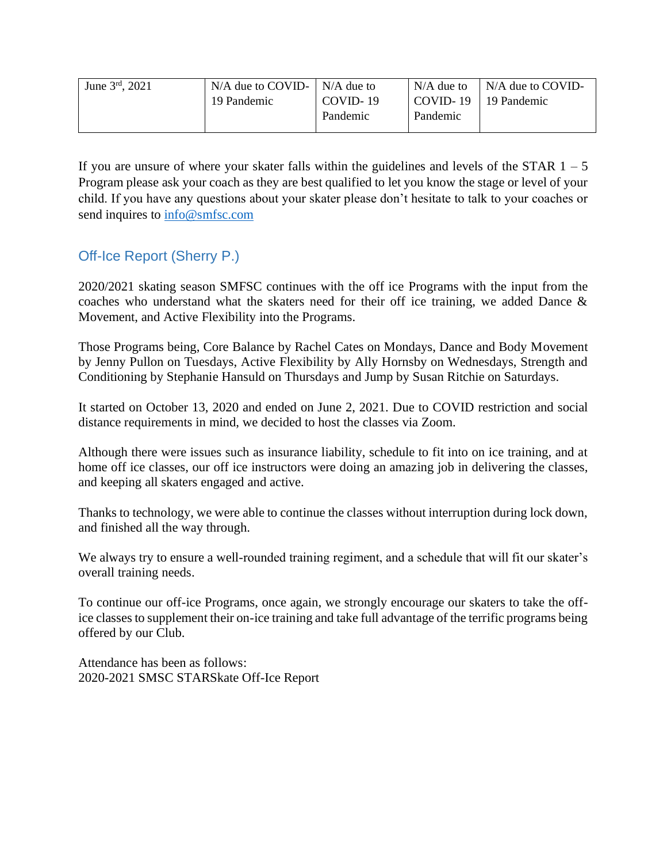| June $3^{rd}$ , 2021 | $N/A$ due to COVID- $\mid N/A$ due to |            | $N/A$ due to | $N/A$ due to COVID- |
|----------------------|---------------------------------------|------------|--------------|---------------------|
|                      | 19 Pandemic                           | $COVID-19$ | COVID-19     | 19 Pandemic         |
|                      |                                       | Pandemic   | Pandemic     |                     |
|                      |                                       |            |              |                     |

If you are unsure of where your skater falls within the guidelines and levels of the STAR  $1 - 5$ Program please ask your coach as they are best qualified to let you know the stage or level of your child. If you have any questions about your skater please don't hesitate to talk to your coaches or send inquires to  $info@smfsc.com$ 

# Off-Ice Report (Sherry P.)

2020/2021 skating season SMFSC continues with the off ice Programs with the input from the coaches who understand what the skaters need for their off ice training, we added Dance & Movement, and Active Flexibility into the Programs.

Those Programs being, Core Balance by Rachel Cates on Mondays, Dance and Body Movement by Jenny Pullon on Tuesdays, Active Flexibility by Ally Hornsby on Wednesdays, Strength and Conditioning by Stephanie Hansuld on Thursdays and Jump by Susan Ritchie on Saturdays.

It started on October 13, 2020 and ended on June 2, 2021. Due to COVID restriction and social distance requirements in mind, we decided to host the classes via Zoom.

Although there were issues such as insurance liability, schedule to fit into on ice training, and at home off ice classes, our off ice instructors were doing an amazing job in delivering the classes, and keeping all skaters engaged and active.

Thanks to technology, we were able to continue the classes without interruption during lock down, and finished all the way through.

We always try to ensure a well-rounded training regiment, and a schedule that will fit our skater's overall training needs.

To continue our off-ice Programs, once again, we strongly encourage our skaters to take the office classes to supplement their on-ice training and take full advantage of the terrific programs being offered by our Club.

Attendance has been as follows: 2020-2021 SMSC STARSkate Off-Ice Report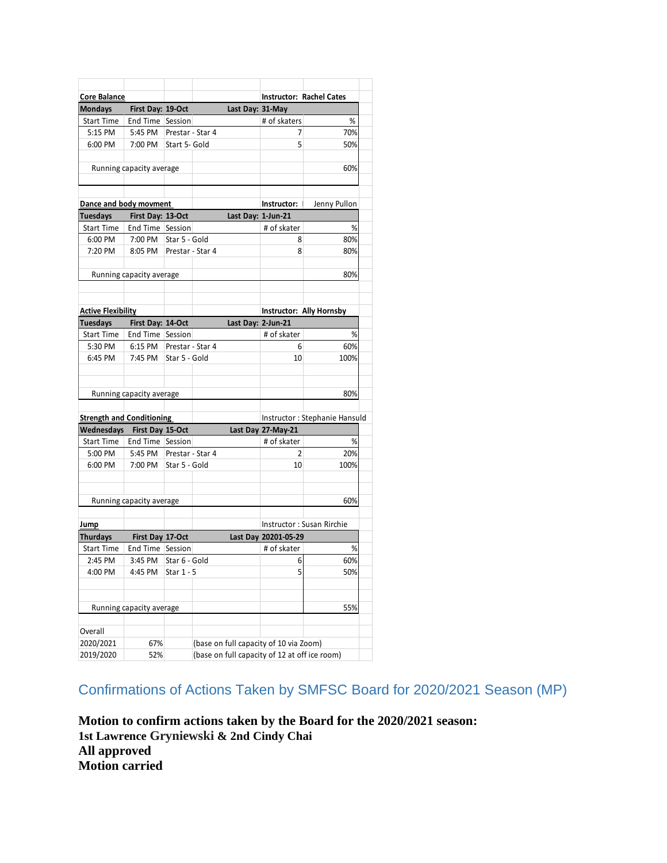| Core Balance                     |                          |                  |                    |                    | <b>Instructor: Rachel Cates</b>               |                               |  |
|----------------------------------|--------------------------|------------------|--------------------|--------------------|-----------------------------------------------|-------------------------------|--|
| <b>Mondays</b>                   | First Day: 19-Oct        |                  |                    | Last Day: 31-May   |                                               |                               |  |
| <b>Start Time</b>                | End Time Session         |                  |                    |                    | # of skaters                                  | %                             |  |
| 5:15 PM                          | 5:45 PM                  | Prestar - Star 4 |                    |                    | 7                                             | 70%                           |  |
| 6:00 PM                          | 7:00 PM                  | Start 5- Gold    |                    |                    | 5                                             | 50%                           |  |
|                                  | Running capacity average |                  |                    |                    |                                               | 60%                           |  |
|                                  |                          |                  |                    |                    |                                               |                               |  |
| Dance and body movment           |                          |                  |                    |                    | Instructor:                                   |                               |  |
| <b>Tuesdays</b>                  | First Day: 13-Oct        |                  |                    | Last Day: 1-Jun-21 |                                               | Jenny Pullon                  |  |
| <b>Start Time</b>                | End Time Session         |                  |                    |                    |                                               |                               |  |
| 6:00 PM                          | 7:00 PM                  | Star 5 - Gold    |                    |                    | # of skater                                   | %                             |  |
|                                  |                          |                  |                    |                    | 8                                             | 80%                           |  |
| 7:20 PM                          | 8:05 PM                  |                  | Prestar - Star 4   |                    | 8                                             | 80%                           |  |
|                                  | Running capacity average |                  |                    |                    |                                               | 80%                           |  |
|                                  |                          |                  |                    |                    |                                               |                               |  |
| <b>Active Flexibility</b>        |                          |                  |                    |                    | Instructor: Ally Hornsby                      |                               |  |
| <b>Tuesdays</b>                  | First Day: 14-Oct        |                  |                    |                    | Last Day: 2-Jun-21                            |                               |  |
| <b>Start Time</b>                | End Time Session         |                  |                    |                    | # of skater                                   | %                             |  |
| 5:30 PM                          | 6:15 PM                  | Prestar - Star 4 |                    |                    | 6                                             | 60%                           |  |
| 6:45 PM                          | 7:45 PM                  | Star 5 - Gold    |                    |                    | 10                                            | 100%                          |  |
|                                  |                          |                  |                    |                    |                                               |                               |  |
|                                  | Running capacity average |                  |                    |                    |                                               | 80%                           |  |
|                                  |                          |                  |                    |                    |                                               |                               |  |
| <b>Strength and Conditioning</b> |                          |                  |                    |                    |                                               | Instructor: Stephanie Hansuld |  |
| Wednesdays                       | First Day 15-Oct         |                  | Last Day 27-May-21 |                    |                                               |                               |  |
| <b>Start Time</b>                | End Time Session         |                  |                    |                    | # of skater                                   | %                             |  |
| 5:00 PM                          | 5:45 PM                  | Prestar - Star 4 |                    |                    | $\overline{2}$                                | 20%                           |  |
| 6:00 PM                          | 7:00 PM                  | Star 5 - Gold    |                    |                    | 10                                            | 100%                          |  |
|                                  |                          |                  |                    |                    |                                               |                               |  |
|                                  |                          |                  |                    |                    |                                               |                               |  |
|                                  | Running capacity average |                  |                    |                    |                                               | 60%                           |  |
| <u>Jump</u>                      |                          |                  |                    |                    | Instructor: Susan Rirchie                     |                               |  |
| <b>Thurdays</b>                  | First Day 17-Oct         |                  |                    |                    | Last Day 20201-05-29                          |                               |  |
| <b>Start Time</b>                | End Time Session         |                  |                    |                    | # of skater                                   | %                             |  |
| 2:45 PM                          | 3:45 PM                  | Star 6 - Gold    |                    |                    | 6 <sup>1</sup>                                | 60%                           |  |
| 4:00 PM                          | 4:45 PM                  | Star 1 - 5       |                    |                    | 5                                             | 50%                           |  |
|                                  |                          |                  |                    |                    |                                               |                               |  |
|                                  | Running capacity average |                  |                    |                    |                                               | 55%                           |  |
|                                  |                          |                  |                    |                    |                                               |                               |  |
| Overall                          |                          |                  |                    |                    |                                               |                               |  |
| 2020/2021                        | 67%                      |                  |                    |                    | (base on full capacity of 10 via Zoom)        |                               |  |
| 2019/2020                        | 52%                      |                  |                    |                    | (base on full capacity of 12 at off ice room) |                               |  |

Confirmations of Actions Taken by SMFSC Board for 2020/2021 Season (MP)

**Motion to confirm actions taken by the Board for the 2020/2021 season: 1st Lawrence Gryniewski & 2nd Cindy Chai All approved Motion carried**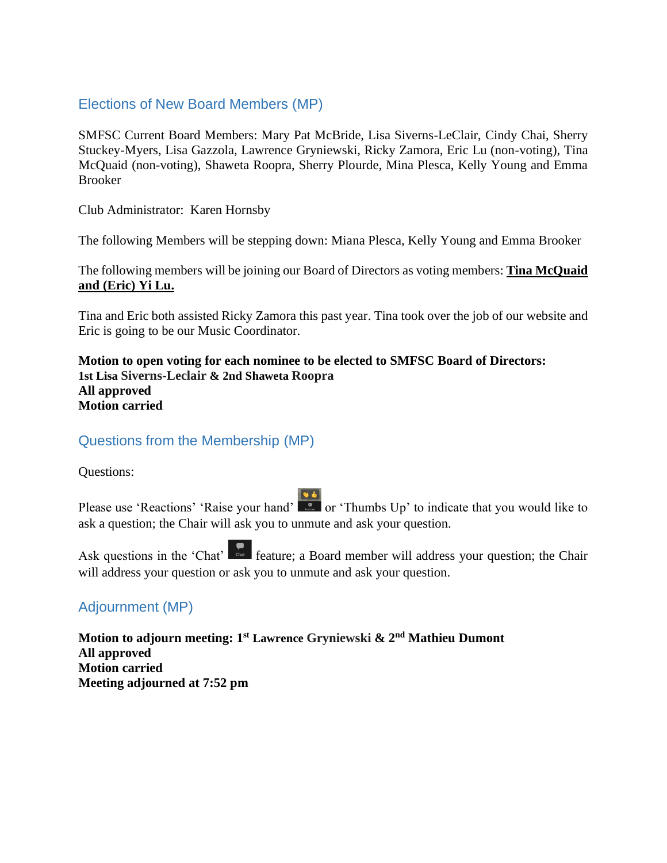# Elections of New Board Members (MP)

SMFSC Current Board Members: Mary Pat McBride, Lisa Siverns-LeClair, Cindy Chai, Sherry Stuckey-Myers, Lisa Gazzola, Lawrence Gryniewski, Ricky Zamora, Eric Lu (non-voting), Tina McQuaid (non-voting), Shaweta Roopra, Sherry Plourde, Mina Plesca, Kelly Young and Emma Brooker

Club Administrator: Karen Hornsby

The following Members will be stepping down: Miana Plesca, Kelly Young and Emma Brooker

The following members will be joining our Board of Directors as voting members: **Tina McQuaid and (Eric) Yi Lu.** 

Tina and Eric both assisted Ricky Zamora this past year. Tina took over the job of our website and Eric is going to be our Music Coordinator.

**Motion to open voting for each nominee to be elected to SMFSC Board of Directors: 1st Lisa Siverns-Leclair & 2nd Shaweta Roopra All approved Motion carried**

Questions from the Membership (MP)

Questions:

Please use 'Reactions' 'Raise your hand'  $\begin{bmatrix} 6 & 1 \\ 0 & 1 \end{bmatrix}$  or 'Thumbs Up' to indicate that you would like to ask a question; the Chair will ask you to unmute and ask your question.

Ask questions in the 'Chat'  $\int_{\text{data}}^{\bullet}$  feature; a Board member will address your question; the Chair will address your question or ask you to unmute and ask your question.

# Adjournment (MP)

**Motion to adjourn meeting: 1 st Lawrence Gryniewski & 2nd Mathieu Dumont All approved Motion carried Meeting adjourned at 7:52 pm**